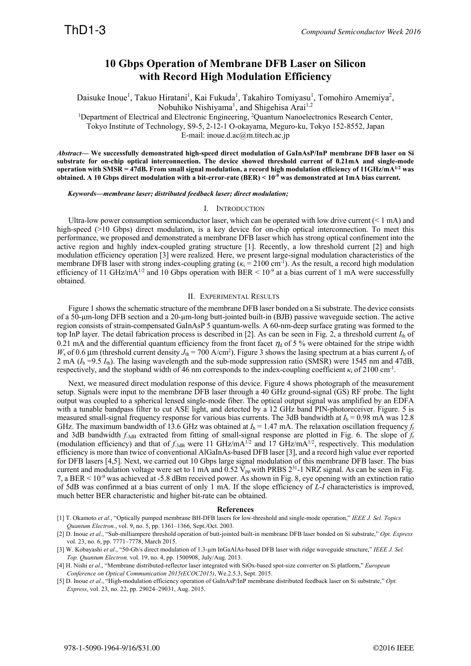## **10 Gbps Operation of Membrane DFB Laser on Silicon with Record High Modulation Efficiency**

Daisuke Inoue<sup>1</sup>, Takuo Hiratani<sup>1</sup>, Kai Fukuda<sup>1</sup>, Takahiro Tomiyasu<sup>1</sup>, Tomohiro Amemiya<sup>2</sup>, Nobuhiko Nishiyama<sup>1</sup>, and Shigehisa Arai<sup>1,2</sup>

<sup>1</sup>Department of Electrical and Electronic Engineering, <sup>2</sup>Quantum Nanoelectronics Research Center,

Tokyo Institute of Technology, S9-5, 2-12-1 O-okayama, Meguro-ku, Tokyo 152-8552, Japan

E-mail: inoue.d.ac@m.titech.ac.jp

*Abstract***— We successfully demonstrated high-speed direct modulation of GaInAsP/InP membrane DFB laser on Si substrate for on-chip optical interconnection. The device showed threshold current of 0.21mA and single-mode operation with SMSR = 47dB. From small signal modulation, a record high modulation efficiency of 11GHz/mA1/2 was obtained. A 10 Gbps direct modulation with a bit-error-rate (BER) < 10-9 was demonstrated at 1mA bias current.** 

*Keywords—membrane laser; distributed feedback laser; direct modulation;* 

## I. INTRODUCTION

Ultra-low power consumption semiconductor laser, which can be operated with low drive current  $($  < 1 mA) and high-speed (>10 Gbps) direct modulation, is a key device for on-chip optical interconnection. To meet this performance, we proposed and demonstrated a membrane DFB laser which has strong optical confinement into the active region and highly index-coupled grating structure [1]. Recently, a low threshold current [2] and high modulation efficiency operation [3] were realized. Here, we present large-signal modulation characteristics of the membrane DFB laser with strong index-coupling grating  $(\kappa_i = 2100 \text{ cm}^{-1})$ . As the result, a record high modulation efficiency of 11 GHz/mA<sup>1/2</sup> and 10 Gbps operation with BER  $\leq 10^{-9}$  at a bias current of 1 mA were successfully obtained.

## II. EXPERIMENTAL RESULTS

Figure 1 shows the schematic structure of the membrane DFB laser bonded on a Si substrate. The device consists of a 50-µm-long DFB section and a 20-µm-long butt-jointed built-in (BJB) passive waveguide section. The active region consists of strain-compensated GaInAsP 5 quantum-wells. A 60-nm-deep surface grating was formed to the top InP layer. The detail fabrication process is described in  $[2]$ . As can be seen in Fig. 2, a threshold current  $I_{th}$  of 0.21 mA and the differential quantum efficiency from the front facet  $\eta_d$  of 5 % were obtained for the stripe width  $W_s$  of 0.6 μm (threshold current density  $J_{th}$  = 700 A/cm<sup>2</sup>). Figure 3 shows the lasing spectrum at a bias current  $I_b$  of 2 mA  $(I_b = 9.5 I_{th})$ . The lasing wavelength and the sub-mode suppression ratio (SMSR) were 1545 nm and 47dB, respectively, and the stopband width of 46 nm corresponds to the index-coupling coefficient  $\kappa_i$  of 2100 cm<sup>-1</sup>.

Next, we measured direct modulation response of this device. Figure 4 shows photograph of the measurement setup. Signals were input to the membrane DFB laser through a 40 GHz ground-signal (GS) RF probe. The light output was coupled to a spherical lensed single-mode fiber. The optical output signal was amplified by an EDFA with a tunable bandpass filter to cut ASE light, and detected by a 12 GHz band PIN-photoreceiver. Figure. 5 is measured small-signal frequency response for various bias currents. The 3dB bandwidth at  $I<sub>b</sub> = 0.98$  mA was 12.8 GHz. The maximum bandwidth of 13.6 GHz was obtained at  $I_b = 1.47$  mA. The relaxation oscillation frequency  $f_r$ and 3dB bandwidth *f*-3dB extracted from fitting of small-signal response are plotted in Fig. 6. The slope of *f*<sup>r</sup> (modulation efficiency) and that of  $f_{\text{3dB}}$  were 11 GHz/mA<sup>1/2</sup> and 17 GHz/mA<sup>1/2</sup>, respectively. This modulation efficiency is more than twice of conventional AlGaInAs-based DFB laser [3], and a record high value ever reported for DFB lasers [4,5]. Next, we carried out 10 Gbps large signal modulation of this membrane DFB laser. The bias current and modulation voltage were set to 1 mA and  $0.52 \text{ V}_{\text{pp}}$  with PRBS 2<sup>31</sup>-1 NRZ signal. As can be seen in Fig. 7, a BER < 10-9 was achieved at -5.8 dBm received power. As shown in Fig. 8, eye opening with an extinction ratio of 5dB was confirmed at a bias current of only 1 mA. If the slope efficiency of *L*-*I* characteristics is improved, much better BER characteristic and higher bit-rate can be obtained.

## **References**

- [1] T. Okamoto *et al*., "Optically pumped membrane BH-DFB lasers for low-threshold and single-mode operation," *IEEE J. Sel. Topics Quantum Electron.*, vol. 9, no. 5, pp. 1361–1366, Sept./Oct. 2003.
- [2] D. Inoue *et al*., "Sub-milliampere threshold operation of butt-jointed built-in membrane DFB laser bonded on Si substrate," *Opt. Express* vol. 23, no. 6, pp. 7771–7778, March 2015.
- [3] W. Kobayashi *et al*., "50-Gb/s direct modulation of 1.3-µm InGaAlAs-based DFB laser with ridge waveguide structure," *IEEE J. Sel. Top. Quantum Electron.* vol. 19, no. 4, pp. 1500908, July/Aug. 2013.

[5] D. Inoue *et al*., "High-modulation efficiency operation of GaInAsP/InP membrane distributed feedback laser on Si substrate," *Opt. Express*, vol. 23, no. 22, pp. 29024–29031, Aug. 2015.

<sup>[4]</sup> H. Nishi e*t al*., "Membrane distributed-reflector laser integrated with SiOx-based spot-size converter on Si platform," *European Conference on Optical Communication 2015(ECOC2015)*, We.2.5.3, Sept. 2015.